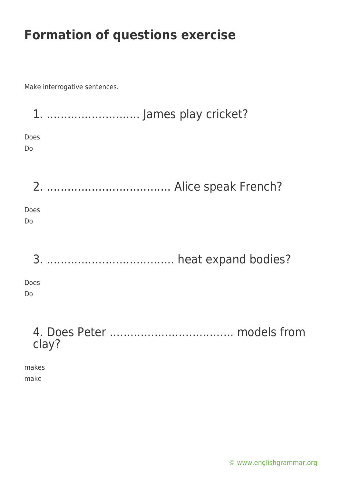Make interrogative sentences.

| Does<br>Do             |       |  |
|------------------------|-------|--|
|                        |       |  |
| Does<br><b>Do</b>      |       |  |
|                        |       |  |
| Does<br>D <sub>o</sub> |       |  |
|                        | clay? |  |

makes make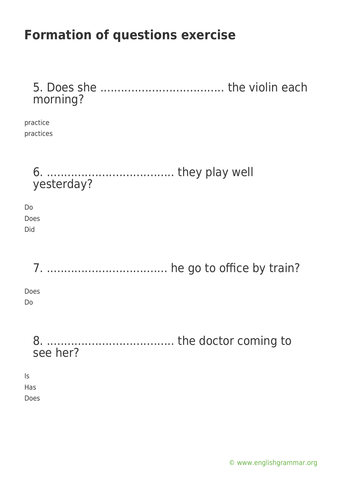5. Does she .................................... the violin each morning?

practice practices

6. ..................................... they play well yesterday? Do Does Did 7. ................................... he go to office by train? Does Do 8. ..................................... the doctor coming to see her? Is Has Does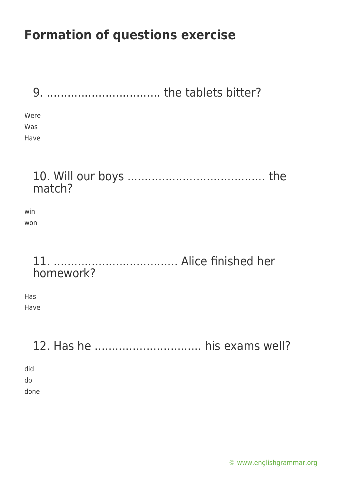| the tablets bitter?<br>9    |  |
|-----------------------------|--|
| Were<br>Was<br>Have         |  |
| match?                      |  |
| win<br>won                  |  |
| homework?                   |  |
| Has<br>Have                 |  |
| 12. Has he  his exams well? |  |
| did<br>do<br>done           |  |